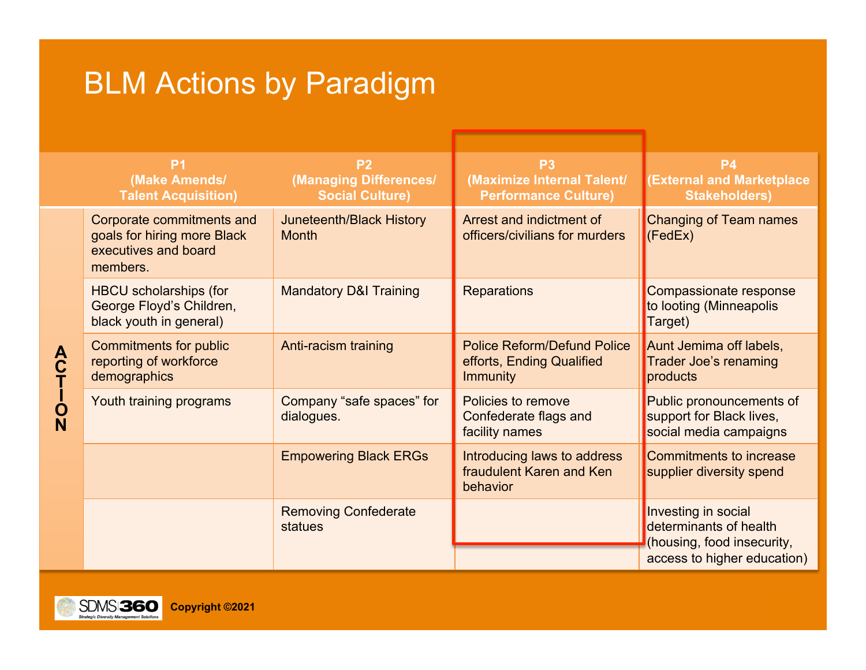## BLM Actions by Paradigm

|                       | P <sub>1</sub><br>(Make Amends/<br><b>Talent Acquisition)</b>                                | P <sub>2</sub><br>(Managing Differences/<br><b>Social Culture)</b> | P <sub>3</sub><br>(Maximize Internal Talent/<br><b>Performance Culture)</b>        | <b>P4</b><br><b>External and Marketplace</b><br><b>Stakeholders)</b>                                       |
|-----------------------|----------------------------------------------------------------------------------------------|--------------------------------------------------------------------|------------------------------------------------------------------------------------|------------------------------------------------------------------------------------------------------------|
| A<br>C<br>T<br>l<br>Q | Corporate commitments and<br>goals for hiring more Black<br>executives and board<br>members. | Juneteenth/Black History<br><b>Month</b>                           | Arrest and indictment of<br>officers/civilians for murders                         | <b>Changing of Team names</b><br>(FedEx)                                                                   |
|                       | <b>HBCU</b> scholarships (for<br>George Floyd's Children,<br>black youth in general)         | <b>Mandatory D&amp;I Training</b>                                  | <b>Reparations</b>                                                                 | Compassionate response<br>to looting (Minneapolis<br>Target)                                               |
|                       | <b>Commitments for public</b><br>reporting of workforce<br>demographics                      | Anti-racism training                                               | <b>Police Reform/Defund Police</b><br>efforts, Ending Qualified<br><b>Immunity</b> | Aunt Jemima off labels,<br>Trader Joe's renaming<br>products                                               |
|                       | Youth training programs                                                                      | Company "safe spaces" for<br>dialogues.                            | Policies to remove<br>Confederate flags and<br>facility names                      | Public pronouncements of<br>support for Black lives,<br>social media campaigns                             |
|                       |                                                                                              | <b>Empowering Black ERGs</b>                                       | Introducing laws to address<br>fraudulent Karen and Ken<br>behavior                | Commitments to increase<br>supplier diversity spend                                                        |
|                       |                                                                                              | <b>Removing Confederate</b><br>statues                             |                                                                                    | Investing in social<br>determinants of health<br>(housing, food insecurity,<br>access to higher education) |